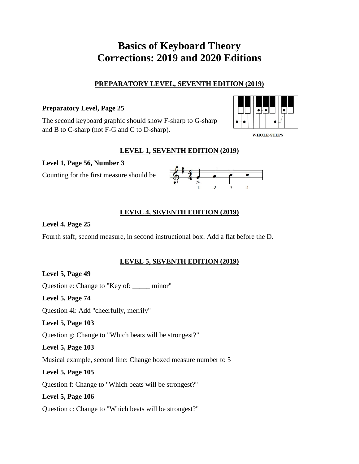# **Basics of Keyboard Theory Corrections: 2019 and 2020 Editions**

## **PREPARATORY LEVEL, SEVENTH EDITION (2019)**

## **Preparatory Level, Page 25**

The second keyboard graphic should show F-sharp to G-sharp and B to C-sharp (not F-G and C to D-sharp).



**WHOLE-STEPS** 

## **LEVEL 1, SEVENTH EDITION (2019)**

**Level 1, Page 56, Number 3**

Counting for the first measure should be



## **LEVEL 4, SEVENTH EDITION (2019)**

## **Level 4, Page 25**

Fourth staff, second measure, in second instructional box: Add a flat before the D.

## **LEVEL 5, SEVENTH EDITION (2019)**

# **Level 5, Page 49**

Question e: Change to "Key of: \_\_\_\_\_ minor"

## **Level 5, Page 74**

Question 4i: Add "cheerfully, merrily"

**Level 5, Page 103**

Question g: Change to "Which beats will be strongest?"

## **Level 5, Page 103**

Musical example, second line: Change boxed measure number to 5

## **Level 5, Page 105**

Question f: Change to "Which beats will be strongest?"

# **Level 5, Page 106**

Question c: Change to "Which beats will be strongest?"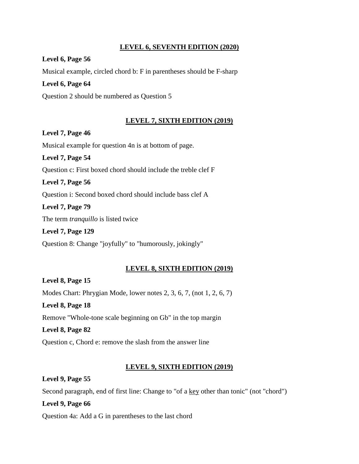#### **LEVEL 6, SEVENTH EDITION (2020)**

#### **Level 6, Page 56**

Musical example, circled chord b: F in parentheses should be F-sharp

#### **Level 6, Page 64**

Question 2 should be numbered as Question 5

#### **LEVEL 7, SIXTH EDITION (2019)**

#### **Level 7, Page 46**

Musical example for question 4n is at bottom of page.

**Level 7, Page 54** Question c: First boxed chord should include the treble clef F **Level 7, Page 56**

Question i: Second boxed chord should include bass clef A

**Level 7, Page 79**

The term *tranquillo* is listed twice

**Level 7, Page 129** Question 8: Change "joyfully" to "humorously, jokingly"

#### **LEVEL 8, SIXTH EDITION (2019)**

**Level 8, Page 15** Modes Chart: Phrygian Mode, lower notes 2, 3, 6, 7, (not 1, 2, 6, 7) **Level 8, Page 18** Remove "Whole-tone scale beginning on Gb" in the top margin **Level 8, Page 82** Question c, Chord e: remove the slash from the answer line

#### **LEVEL 9, SIXTH EDITION (2019)**

**Level 9, Page 55** Second paragraph, end of first line: Change to "of a <u>key</u> other than tonic" (not "chord") **Level 9, Page 66**

Question 4a: Add a G in parentheses to the last chord